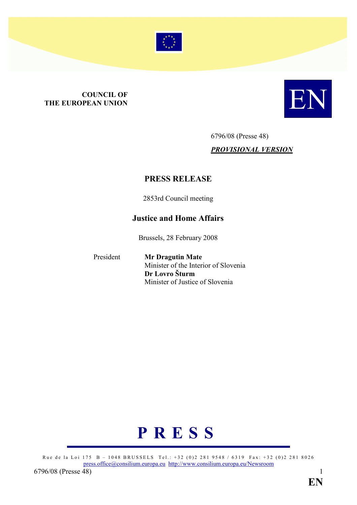

# **COUNCIL OF<br>THE EUROPEAN UNION**



6796/08 (Presse 48) PROVISIONAL VERSION

# PRESS RELEASE

2853rd Council meeting

# Justice and Home Affairs

Brussels, 28 February 2008

President Mr Dragutin Mate Minister of the Interior of Slovenia Dr Lovro Šturm Minister of Justice of Slovenia



Rue de la Loi 175 B - 1048 BRUSSELS Tel.: +32 (0)2 281 9548 / 6319 Fax: +32 (0)2 281 8026 press.office@consilium.europa.eu http://www.consilium.europa.eu/Newsroom 6796/08 (Presse [48\)](mailto:press.office@consilium.europa.eu) 1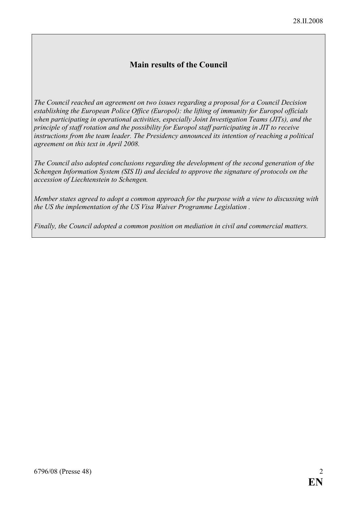# Main results of the Council

The Council reached an agreement on two issues regarding a proposal for a Council Decision establishing the European Police Office (Europol): the lifting of immunity for Europol officials when participating in operational activities, especially Joint Investigation Teams (JITs), and the principle of staff rotation and the possibility for Europol staff participating in JIT to receive instructions from the team leader. The Presidency announced its intention of reaching a political agreement on this text in April 2008.

The Council also adopted conclusions regarding the development of the second generation of the Schengen Information System (SIS II) and decided to approve the signature of protocols on the accession of Liechtenstein to Schengen.

Member states agreed to adopt a common approach for the purpose with a view to discussing with the US the implementation of the US Visa Waiver Programme Legislation .

Finally, the Council adopted a common position on mediation in civil and commercial matters.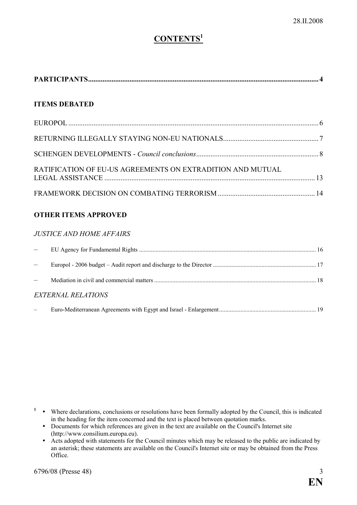# CONTENTS<sup>1</sup>

|--|

## ITEMS DEBATED

| RATIFICATION OF EU-US AGREEMENTS ON EXTRADITION AND MUTUAL |  |
|------------------------------------------------------------|--|
|                                                            |  |

#### OTHER ITEMS APPROVED

#### JUSTICE AND HOME AFFAIRS

| <b>EXTERNAL RELATIONS</b> |  |
|---------------------------|--|
|                           |  |

 $\cdot$  Where declarations, conclusions or resolutions have been formally adopted by the Council, this is indicated in the heading for the item concerned and the text is placed between quotation marks.

- Documents for which references are given in the text are available on the Council's Internet site (http://www.consilium.europa.eu).
	- $\bullet$ Acts adopted with statements for the Council minutes which may be released to the public are indicated by an asterisk; these statements are available on the Council's Internet site or may be obtained from the Press Office.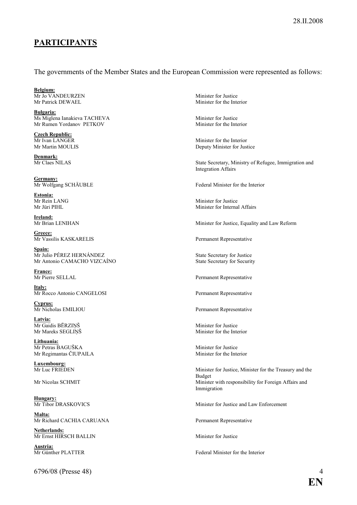# PARTICIPANTS

#### The governments of the Member States and the European Commission were represented as follows:

Belgium: Mr Jo VANDEURZEN Minister for Justice<br>Mr Patrick DEWAEL Minister for the Inte

Bulgaria: Ms Miglena Ianakieva TACHEVA Minister for Justice Mr Rumen Yordanov PETKOV Minister for the Interior

**Czech Republic:**<br>Mr Ivan LANGER

Denmark:<br>Mr Claes NILAS

Germany:<br>Mr Wolfgang SCHÄUBLE

Estonia:<br>Mr Rein LANG

**Ireland:**<br>Mr Brian LENIHAN

Greece:<br>Mr Vassilis KASKARELIS

Spain:<br>Mr Julio PÉREZ HERNÁNDEZ Mr Antonio CAMACHO VIZCAÍNO

France:<br>Mr Pierre SELLAL

Italy: Mr Rocco Antonio CANGELOSI Permanent Representative

**Cyprus:**<br>Mr Nicholas EMILIOU

Latvia: Mr Gaidis BĒRZIŅŠ Minister for Justice<br>Mr Mareks SEGLINŠ Minister for the Interior Mr Mareks SEGLIŅŠ

Lithuania: Mr Petras BAGUŠKA Minister for Justice<br>
Mr Regimantas ČIUPAILA Minister for the Interior Mr Regimantas ČIUPAILA

**Luxembourg:**<br>Mr Luc FRIEDEN

**Hungary:**<br>Mr Tibor DRASKOVICS

Malta: Mr Richard CACHIA CARUANA Permanent Representative

Netherlands: Mr Ernst HIRSCH BALLIN Minister for Justice

Austria:<br>Mr Günther PLATTER

6796/08 (Presse 48) 4

Minister for the Interior

Mr Ivan LANGER Minister for the Interior<br>Mr Martin MOULIS Deputy Minister for Just Deputy Minister for Justice

> State Secretary, Ministry of Refugee, Immigration and Integration Affairs

Federal Minister for the Interior

Mr Rein LANG Minister for Justice<br>
Mr Jüri PIHL Minister for Internal Minister for Internal Affairs

Minister for Justice, Equality and Law Reform

Permanent Representative

State Secretary for Justice<br>State Secretary for Security

Permanent Representative

Permanent Representative

Minister for Justice, Minister for the Treasury and the Budget Mr Nicolas SCHMIT Minister with responsibility for Foreign Affairs and Immigration

Minister for Justice and Law Enforcement

Federal Minister for the Interior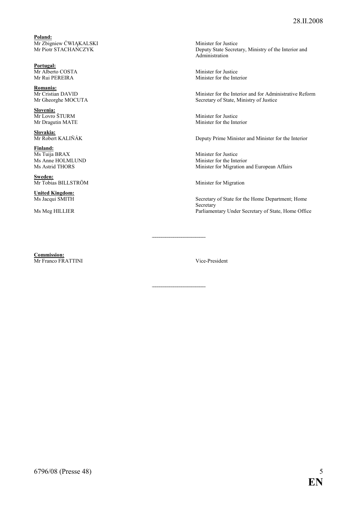Poland: Mr Zbigniew CWIĄKALSKI and the Minister for Justice of Minister for Justice

Portugal: Mr Alberto COSTA<br>
Mr Rui PEREIRA<br>
Minister for the Inte

Romania:<br>Mr Cristian DAVID

Slovenia:<br>Mr Lovro ŠTURM Mr Lovro ŠTURM Minister for Justice<br>
Mr Dragutin MATE Minister for the Inte

Slovakia:<br>Mr Robert KALIŇÁK

**Finland:**<br>Ms Tuija BRAX Ms Tuija BRAX Minister for Justice<br>
Ms Anne HOLMLUND Minister for the Inte

Sweden: Mr Tobias BILLSTRÖM Minister for Migration

**United Kingdom:**<br>Ms Jacqui SMITH

Commission: Mr Franco FRATTINI Vice-President

Mr Piotr STACHAŃCZYK Deputy State Secretary, Ministry of the Interior and Administration

Minister for the Interior

Minister for the Interior and for Administrative Reform Mr Gheorghe MOCUTA Secretary of State, Ministry of Justice

Minister for the Interior

Deputy Prime Minister and Minister for the Interior

Ms Anne HOLMLUND Minister for the Interior<br>Ms Astrid THORS Minister for Migration a Minister for Migration and European Affairs

Secretary of State for the Home Department; Home Secretary Ms Meg HILLIER Parliamentary Under Secretary of State, Home Office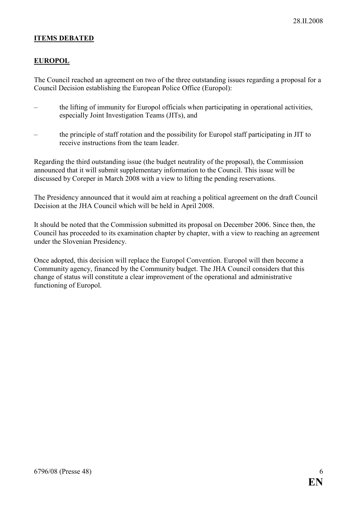#### ITEMS DEBATED

#### **EUROPOL**

The Council reached an agreement on two of the three outstanding issues regarding a proposal for a Council Decision establishing the European Police Office (Europol):

- the lifting of immunity for Europol officials when participating in operational activities, especially Joint Investigation Teams (JITs), and
- the principle of staff rotation and the possibility for Europol staff participating in JIT to receive instructions from the team leader.

Regarding the third outstanding issue (the budget neutrality of the proposal), the Commission announced that it will submit supplementary information to the Council. This issue will be discussed by Coreper in March 2008 with a view to lifting the pending reservations.

The Presidency announced that it would aim at reaching a political agreement on the draft Council Decision at the JHA Council which will be held in April 2008.

It should be noted that the Commission submitted its proposal on December 2006. Since then, the Council has proceeded to its examination chapter by chapter, with a view to reaching an agreement under the Slovenian Presidency.

Once adopted, this decision will replace the Europol Convention. Europol will then become a Community agency, financed by the Community budget. The JHA Council considers that this change of status will constitute a clear improvement of the operational and administrative functioning of Europol.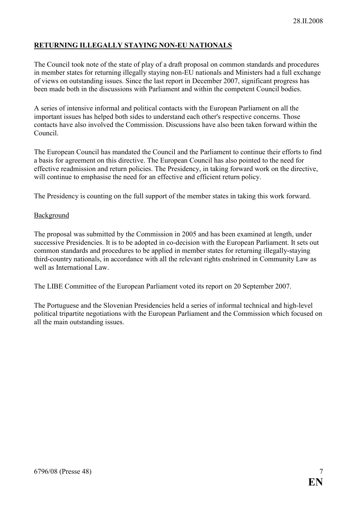# RETURNING ILLEGALLY STAYING NON-EU NATIONALS

The Council took note of the state of play of a draft proposal on common standards and procedures in member states for returning illegally staying non-EU nationals and Ministers had a full exchange of views on outstanding issues. Since the last report in December 2007, significant progress has been made both in the discussions with Parliament and within the competent Council bodies.

A series of intensive informal and political contacts with the European Parliament on all the important issues has helped both sides to understand each other's respective concerns. Those contacts have also involved the Commission. Discussions have also been taken forward within the Council.

The European Council has mandated the Council and the Parliament to continue their efforts to find a basis for agreement on this directive. The European Council has also pointed to the need for effective readmission and return policies. The Presidency, in taking forward work on the directive, will continue to emphasise the need for an effective and efficient return policy.

The Presidency is counting on the full support of the member states in taking this work forward.

#### **Background**

The proposal was submitted by the Commission in 2005 and has been examined at length, under successive Presidencies. It is to be adopted in co-decision with the European Parliament. It sets out common standards and procedures to be applied in member states for returning illegally-staying third-country nationals, in accordance with all the relevant rights enshrined in Community Law as well as International Law.

The LIBE Committee of the European Parliament voted its report on 20 September 2007.

The Portuguese and the Slovenian Presidencies held a series of informal technical and high-level political tripartite negotiations with the European Parliament and the Commission which focused on all the main outstanding issues.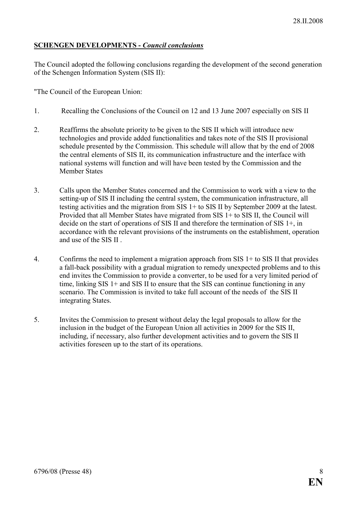## SCHENGEN DEVELOPMENTS - Council conclusions

The Council adopted the following conclusions regarding the development of the second generation of the Schengen Information System (SIS II):

"The Council of the European Union:

- 1. Recalling the Conclusions of the Council on 12 and 13 June 2007 especially on SIS II
- 2. Reaffirms the absolute priority to be given to the SIS II which will introduce new technologies and provide added functionalities and takes note of the SIS II provisional schedule presented by the Commission. This schedule will allow that by the end of 2008 the central elements of SIS II, its communication infrastructure and the interface with national systems will function and will have been tested by the Commission and the Member States
- 3. Calls upon the Member States concerned and the Commission to work with a view to the setting-up of SIS II including the central system, the communication infrastructure, all testing activities and the migration from SIS 1+ to SIS II by September 2009 at the latest. Provided that all Member States have migrated from SIS 1+ to SIS II, the Council will decide on the start of operations of SIS II and therefore the termination of SIS 1+, in accordance with the relevant provisions of the instruments on the establishment, operation and use of the SIS II .
- 4. Confirms the need to implement a migration approach from SIS 1+ to SIS II that provides a fall-back possibility with a gradual migration to remedy unexpected problems and to this end invites the Commission to provide a converter, to be used for a very limited period of time, linking SIS 1+ and SIS II to ensure that the SIS can continue functioning in any scenario. The Commission is invited to take full account of the needs of the SIS II integrating States.
- 5. Invites the Commission to present without delay the legal proposals to allow for the inclusion in the budget of the European Union all activities in 2009 for the SIS II, including, if necessary, also further development activities and to govern the SIS II activities foreseen up to the start of its operations.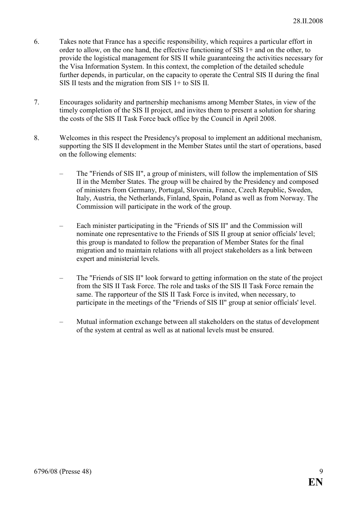- 6. Takes note that France has a specific responsibility, which requires a particular effort in order to allow, on the one hand, the effective functioning of SIS 1+ and on the other, to provide the logistical management for SIS II while guaranteeing the activities necessary for the Visa Information System. In this context, the completion of the detailed schedule further depends, in particular, on the capacity to operate the Central SIS II during the final SIS II tests and the migration from SIS 1+ to SIS II.
- 7. Encourages solidarity and partnership mechanisms among Member States, in view of the timely completion of the SIS II project, and invites them to present a solution for sharing the costs of the SIS II Task Force back office by the Council in April 2008.
- 8. Welcomes in this respect the Presidency's proposal to implement an additional mechanism, supporting the SIS II development in the Member States until the start of operations, based on the following elements:
	- The "Friends of SIS II", a group of ministers, will follow the implementation of SIS II in the Member States. The group will be chaired by the Presidency and composed of ministers from Germany, Portugal, Slovenia, France, Czech Republic, Sweden, Italy, Austria, the Netherlands, Finland, Spain, Poland as well as from Norway. The Commission will participate in the work of the group.
	- Each minister participating in the "Friends of SIS II" and the Commission will nominate one representative to the Friends of SIS II group at senior officials' level; this group is mandated to follow the preparation of Member States for the final migration and to maintain relations with all project stakeholders as a link between expert and ministerial levels.
	- The "Friends of SIS II" look forward to getting information on the state of the project from the SIS II Task Force. The role and tasks of the SIS II Task Force remain the same. The rapporteur of the SIS II Task Force is invited, when necessary, to participate in the meetings of the "Friends of SIS II" group at senior officials' level.
	- Mutual information exchange between all stakeholders on the status of development of the system at central as well as at national levels must be ensured.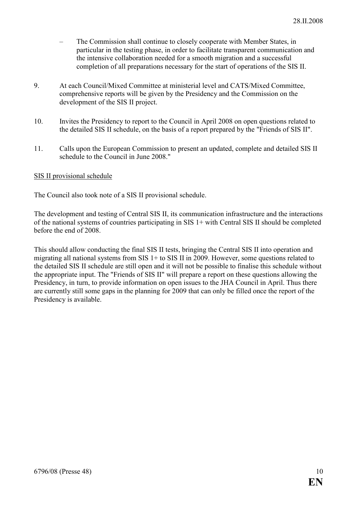- The Commission shall continue to closely cooperate with Member States, in particular in the testing phase, in order to facilitate transparent communication and the intensive collaboration needed for a smooth migration and a successful completion of all preparations necessary for the start of operations of the SIS II.
- 9. At each Council/Mixed Committee at ministerial level and CATS/Mixed Committee, comprehensive reports will be given by the Presidency and the Commission on the development of the SIS II project.
- 10. Invites the Presidency to report to the Council in April 2008 on open questions related to the detailed SIS II schedule, on the basis of a report prepared by the "Friends of SIS II".
- 11. Calls upon the European Commission to present an updated, complete and detailed SIS II schedule to the Council in June 2008."

#### SIS II provisional schedule

The Council also took note of a SIS II provisional schedule.

The development and testing of Central SIS II, its communication infrastructure and the interactions of the national systems of countries participating in SIS 1+ with Central SIS II should be completed before the end of 2008.

This should allow conducting the final SIS II tests, bringing the Central SIS II into operation and migrating all national systems from SIS 1+ to SIS II in 2009. However, some questions related to the detailed SIS II schedule are still open and it will not be possible to finalise this schedule without the appropriate input. The "Friends of SIS II" will prepare a report on these questions allowing the Presidency, in turn, to provide information on open issues to the JHA Council in April. Thus there are currently still some gaps in the planning for 2009 that can only be filled once the report of the Presidency is available.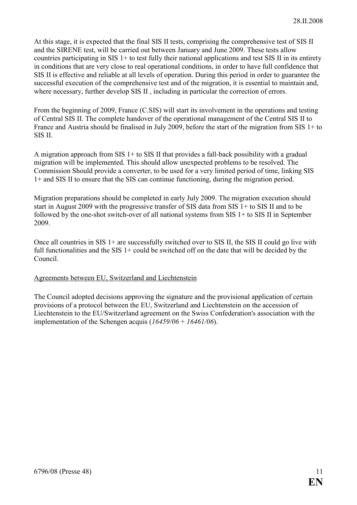At this stage, it is expected that the final SIS II tests, comprising the comprehensive test of SIS II and the SIRENE test, will be carried out between January and June 2009. These tests allow countries participating in SIS 1+ to test fully their national applications and test SIS II in its entirety in conditions that are very close to real operational conditions, in order to have full confidence that SIS II is effective and reliable at all levels of operation. During this period in order to guarantee the successful execution of the comprehensive test and of the migration, it is essential to maintain and, where necessary, further develop SIS II , including in particular the correction of errors.

From the beginning of 2009, France (C.SIS) will start its involvement in the operations and testing of Central SIS II. The complete handover of the operational management of the Central SIS II to France and Austria should be finalised in July 2009, before the start of the migration from SIS 1+ to SIS II.

A migration approach from SIS 1+ to SIS II that provides a fall-back possibility with a gradual migration will be implemented. This should allow unexpected problems to be resolved. The Commission Should provide a converter, to be used for a very limited period of time, linking SIS 1+ and SIS II to ensure that the SIS can continue functioning, during the migration period.

Migration preparations should be completed in early July 2009. The migration execution should start in August 2009 with the progressive transfer of SIS data from SIS 1+ to SIS II and to be followed by the one-shot switch-over of all national systems from SIS 1+ to SIS II in September 2009.

Once all countries in SIS 1+ are successfully switched over to SIS II, the SIS II could go live with full functionalities and the SIS 1+ could be switched off on the date that will be decided by the Council.

#### Agreements between EU, Switzerland and Liechtenstein

The Council adopted decisions approving the signature and the provisional application of certain provisions of a protocol between the EU, Switzerland and Liechtenstein on the accession of Liechtenstein to the EU/Switzerland agreement on the Swiss Confederation's association with the implementation of the Schengen acquis  $(16459/06 + 16461/06)$ .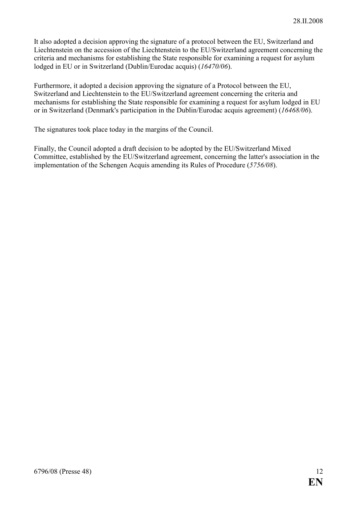It also adopted a decision approving the signature of a protocol between the EU, Switzerland and Liechtenstein on the accession of the Liechtenstein to the EU/Switzerland agreement concerning the criteria and mechanisms for establishing the State responsible for examining a request for asylum lodged in EU or in Switzerland (Dublin/Eurodac acquis) (16470/06).

Furthermore, it adopted a decision approving the signature of a Protocol between the EU, Switzerland and Liechtenstein to the EU/Switzerland agreement concerning the criteria and mechanisms for establishing the State responsible for examining a request for asylum lodged in EU or in Switzerland (Denmark's participation in the Dublin/Eurodac acquis agreement) (16468/06).

The signatures took place today in the margins of the Council.

Finally, the Council adopted a draft decision to be adopted by the EU/Switzerland Mixed Committee, established by the EU/Switzerland agreement, concerning the latter's association in the implementation of the Schengen Acquis amending its Rules of Procedure (5756/08).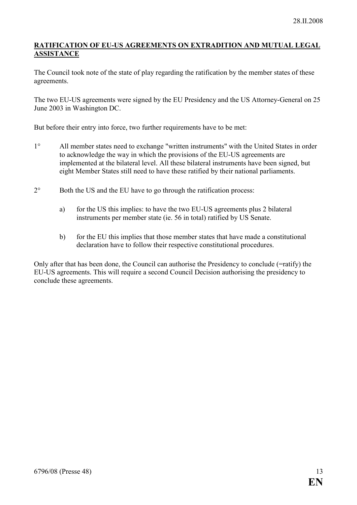#### RATIFICATION OF EU-US AGREEMENTS ON EXTRADITION AND MUTUAL LEGAL ASSISTANCE

The Council took note of the state of play regarding the ratification by the member states of these agreements.

The two EU-US agreements were signed by the EU Presidency and the US Attorney-General on 25 June 2003 in Washington DC.

But before their entry into force, two further requirements have to be met:

- 1° All member states need to exchange "written instruments" with the United States in order to acknowledge the way in which the provisions of the EU-US agreements are implemented at the bilateral level. All these bilateral instruments have been signed, but eight Member States still need to have these ratified by their national parliaments.
- 2° Both the US and the EU have to go through the ratification process:
	- a) for the US this implies: to have the two EU-US agreements plus 2 bilateral instruments per member state (ie. 56 in total) ratified by US Senate.
	- b) for the EU this implies that those member states that have made a constitutional declaration have to follow their respective constitutional procedures.

Only after that has been done, the Council can authorise the Presidency to conclude (=ratify) the EU-US agreements. This will require a second Council Decision authorising the presidency to conclude these agreements.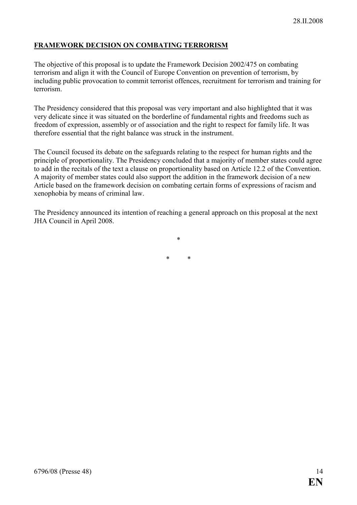# FRAMEWORK DECISION ON COMBATING TERRORISM

The objective of this proposal is to update the Framework Decision 2002/475 on combating terrorism and align it with the Council of Europe Convention on prevention of terrorism, by including public provocation to commit terrorist offences, recruitment for terrorism and training for terrorism.

The Presidency considered that this proposal was very important and also highlighted that it was very delicate since it was situated on the borderline of fundamental rights and freedoms such as freedom of expression, assembly or of association and the right to respect for family life. It was therefore essential that the right balance was struck in the instrument.

The Council focused its debate on the safeguards relating to the respect for human rights and the principle of proportionality. The Presidency concluded that a majority of member states could agree to add in the recitals of the text a clause on proportionality based on Article 12.2 of the Convention. A majority of member states could also support the addition in the framework decision of a new Article based on the framework decision on combating certain forms of expressions of racism and xenophobia by means of criminal law.

The Presidency announced its intention of reaching a general approach on this proposal at the next JHA Council in April 2008.

\*

\* \*

6796/08 (Presse 48) 14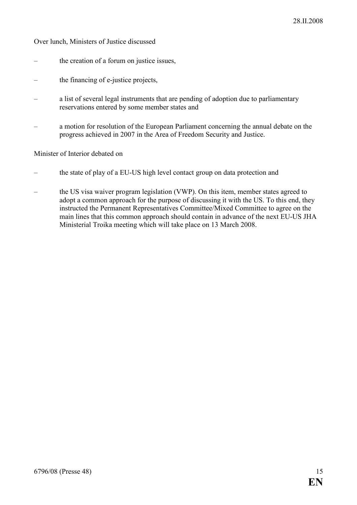Over lunch, Ministers of Justice discussed

- the creation of a forum on justice issues,
- the financing of e-justice projects,
- a list of several legal instruments that are pending of adoption due to parliamentary reservations entered by some member states and
- a motion for resolution of the European Parliament concerning the annual debate on the progress achieved in 2007 in the Area of Freedom Security and Justice.

Minister of Interior debated on

- the state of play of a EU-US high level contact group on data protection and
- the US visa waiver program legislation (VWP). On this item, member states agreed to adopt a common approach for the purpose of discussing it with the US. To this end, they instructed the Permanent Representatives Committee/Mixed Committee to agree on the main lines that this common approach should contain in advance of the next EU-US JHA Ministerial Troika meeting which will take place on 13 March 2008.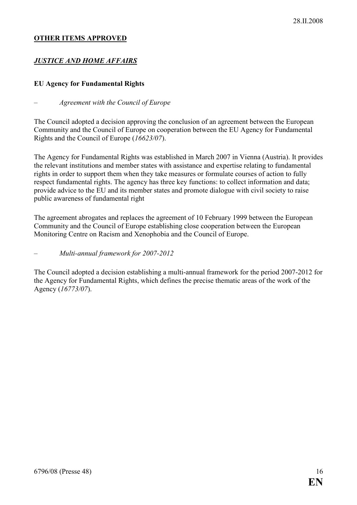#### OTHER ITEMS APPROVED

## **JUSTICE AND HOME AFFAIRS**

#### EU Agency for Fundamental Rights

#### – Agreement with the Council of Europe

The Council adopted a decision approving the conclusion of an agreement between the European Community and the Council of Europe on cooperation between the EU Agency for Fundamental Rights and the Council of Europe (16623/07).

The Agency for Fundamental Rights was established in March 2007 in Vienna (Austria). It provides the relevant institutions and member states with assistance and expertise relating to fundamental rights in order to support them when they take measures or formulate courses of action to fully respect fundamental rights. The agency has three key functions: to collect information and data; provide advice to the EU and its member states and promote dialogue with civil society to raise public awareness of fundamental right

The agreement abrogates and replaces the agreement of 10 February 1999 between the European Community and the Council of Europe establishing close cooperation between the European Monitoring Centre on Racism and Xenophobia and the Council of Europe.

#### – Multi-annual framework for 2007-2012

The Council adopted a decision establishing a multi-annual framework for the period 2007-2012 for the Agency for Fundamental Rights, which defines the precise thematic areas of the work of the Agency (16773/07).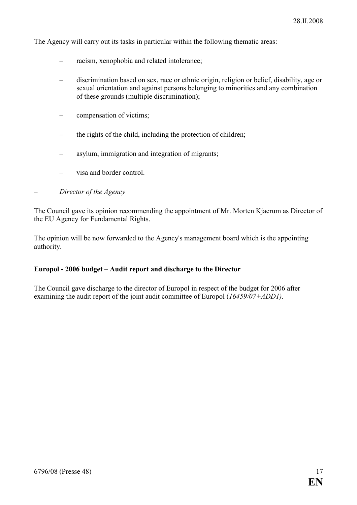The Agency will carry out its tasks in particular within the following thematic areas:

- racism, xenophobia and related intolerance;
- discrimination based on sex, race or ethnic origin, religion or belief, disability, age or sexual orientation and against persons belonging to minorities and any combination of these grounds (multiple discrimination);
- compensation of victims;
- the rights of the child, including the protection of children;
- asylum, immigration and integration of migrants;
- visa and border control.
- Director of the Agency

The Council gave its opinion recommending the appointment of Mr. Morten Kjaerum as Director of the EU Agency for Fundamental Rights.

The opinion will be now forwarded to the Agency's management board which is the appointing authority.

#### Europol - 2006 budget – Audit report and discharge to the Director

The Council gave discharge to the director of Europol in respect of the budget for 2006 after examining the audit report of the joint audit committee of Europol (16459/07+ADD1).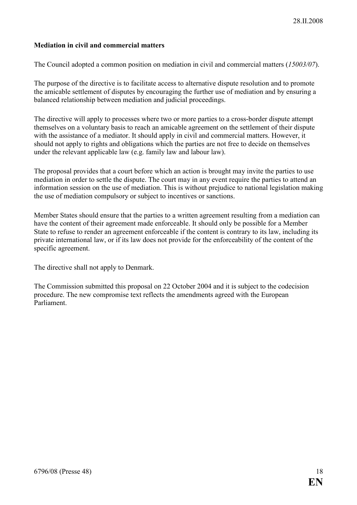## Mediation in civil and commercial matters

The Council adopted a common position on mediation in civil and commercial matters (15003/07).

The purpose of the directive is to facilitate access to alternative dispute resolution and to promote the amicable settlement of disputes by encouraging the further use of mediation and by ensuring a balanced relationship between mediation and judicial proceedings.

The directive will apply to processes where two or more parties to a cross-border dispute attempt themselves on a voluntary basis to reach an amicable agreement on the settlement of their dispute with the assistance of a mediator. It should apply in civil and commercial matters. However, it should not apply to rights and obligations which the parties are not free to decide on themselves under the relevant applicable law (e.g. family law and labour law).

The proposal provides that a court before which an action is brought may invite the parties to use mediation in order to settle the dispute. The court may in any event require the parties to attend an information session on the use of mediation. This is without prejudice to national legislation making the use of mediation compulsory or subject to incentives or sanctions.

Member States should ensure that the parties to a written agreement resulting from a mediation can have the content of their agreement made enforceable. It should only be possible for a Member State to refuse to render an agreement enforceable if the content is contrary to its law, including its private international law, or if its law does not provide for the enforceability of the content of the specific agreement.

The directive shall not apply to Denmark.

The Commission submitted this proposal on 22 October 2004 and it is subject to the codecision procedure. The new compromise text reflects the amendments agreed with the European Parliament.